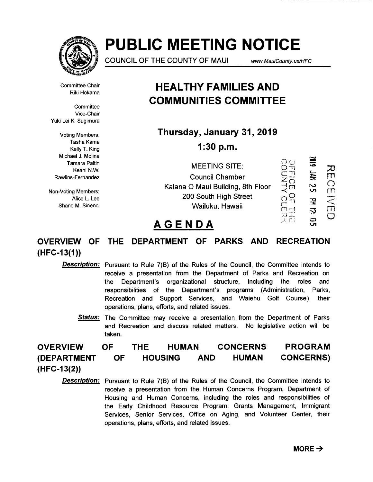

# **PUBLIC MEETING NOTICE**

COUNCIL OF THE COUNTY OF MAUl www.MauiCounty. us!HFC

Committee Chair Riki Hokama

**Committee** Vice-Chair Yuki Lei K. Sugimura

Voting Members: Tasha Kama Kelly T. King Michael J. Molina Tamara Paltin Keani N.W. Rawlins-Fernandez

Non-Voting Members: Alice L. Lee Shane M. Sinenci

### **HEAL THY FAMILIES AND COMMUNITIES COMMITTEE**

**Thursday, January 31, 2019 1:30 p.m.** 

> **MEETING SITE:** Council Chamber

Kalana O Maui Building, 8th Floor 200 South High Street  $\overline{O}$ <br>Wailuku, Hawaii  $\overline{m}$ Wailuku, Hawaii

OFFICE<br>OFFICE<br>OFFICE  $\frac{Q}{T1}$  $\Box \rightarrow$ با أنيبا - أن أمر ~  $\bullet$  $\leftarrow$  $\equiv$ %  $\frac{2}{3}$ <u>고</u>  $\dot{\mathbf{r}}$ ូ<br>ហ 70 m  $\bigcirc$  $\sqcap\!\!\!\sqcap$  $\sum_{i=1}^{\infty}$  $\subset$ 

## **AGENDA**  $\overline{X}$ <sup>55</sup>

### **OVERVIEW OF THE DEPARTMENT OF PARKS AND RECREATION (HFC-13(1))**

**Description:** Pursuant to Rule 7(B) of the Rules of the Council, the Committee intends to receive a presentation from the Department of Parks and Recreation on the Department's organizational structure, including the roles and responsibilities of the Department's programs (Administration, Parks, Recreation and Support Services, and Waiehu Golf Course), their operations, plans, efforts, and related issues.

**Status:** The Committee may receive a presentation from the Department of Parks and Recreation and discuss related matters. No legislative action will be taken.

**OVERVIEW (DEPARTMENT (HFC-13(2)) OF OF THE HUMAN HOUSING AND CONCERNS HUMAN PROGRAM CONCERNS)** 

**Description:** Pursuant to Rule 7(B) of the Rules of the Council, the Committee intends to receive a presentation from the Human Concerns Program, Department of Housing and Human Concerns, including the roles and responsibilities of the Early Childhood Resource Program, Grants Management, Immigrant Services, Senior Services, Office on Aging, and Volunteer Center, their operations, plans, efforts, and related issues.